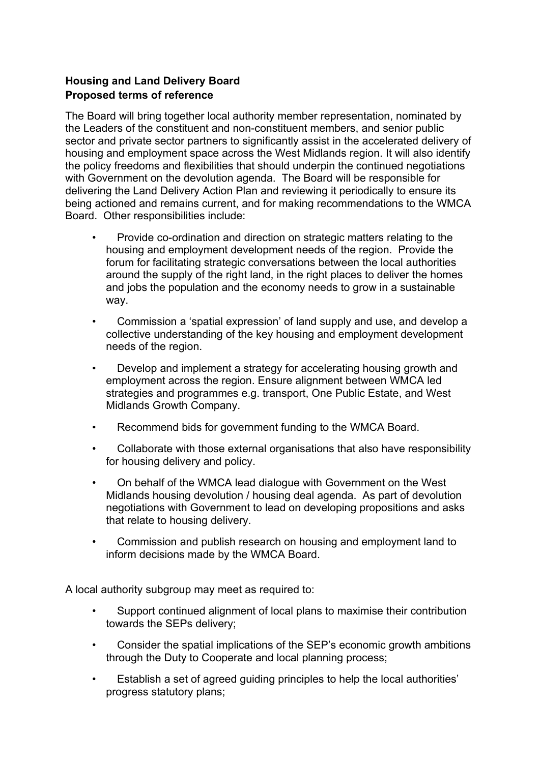## **Housing and Land Delivery Board Proposed terms of reference**

The Board will bring together local authority member representation, nominated by the Leaders of the constituent and non-constituent members, and senior public sector and private sector partners to significantly assist in the accelerated delivery of housing and employment space across the West Midlands region. It will also identify the policy freedoms and flexibilities that should underpin the continued negotiations with Government on the devolution agenda. The Board will be responsible for delivering the Land Delivery Action Plan and reviewing it periodically to ensure its being actioned and remains current, and for making recommendations to the WMCA Board. Other responsibilities include:

- Provide co-ordination and direction on strategic matters relating to the housing and employment development needs of the region. Provide the forum for facilitating strategic conversations between the local authorities around the supply of the right land, in the right places to deliver the homes and jobs the population and the economy needs to grow in a sustainable way.
- Commission a 'spatial expression' of land supply and use, and develop a collective understanding of the key housing and employment development needs of the region.
- Develop and implement a strategy for accelerating housing growth and employment across the region. Ensure alignment between WMCA led strategies and programmes e.g. transport, One Public Estate, and West Midlands Growth Company.
- Recommend bids for government funding to the WMCA Board.
- Collaborate with those external organisations that also have responsibility for housing delivery and policy.
- On behalf of the WMCA lead dialogue with Government on the West Midlands housing devolution / housing deal agenda. As part of devolution negotiations with Government to lead on developing propositions and asks that relate to housing delivery.
- Commission and publish research on housing and employment land to inform decisions made by the WMCA Board.

A local authority subgroup may meet as required to:

- Support continued alignment of local plans to maximise their contribution towards the SEPs delivery;
- Consider the spatial implications of the SEP's economic growth ambitions through the Duty to Cooperate and local planning process;
- Establish a set of agreed guiding principles to help the local authorities' progress statutory plans;